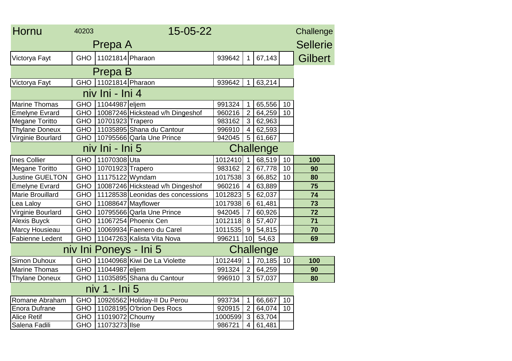| Hornu                               | 40203      |                  | 15-05-22                          |         |                         |        |    | Challenge       |  |
|-------------------------------------|------------|------------------|-----------------------------------|---------|-------------------------|--------|----|-----------------|--|
|                                     |            | Prepa A          |                                   |         |                         |        |    | <b>Sellerie</b> |  |
| Victorya Fayt                       | <b>GHO</b> | 11021814 Pharaon |                                   | 939642  | 1                       | 67,143 |    | <b>Gilbert</b>  |  |
| Prepa B                             |            |                  |                                   |         |                         |        |    |                 |  |
| Victorya Fayt                       | <b>GHO</b> | 11021814 Pharaon |                                   | 939642  | $\mathbf 1$             | 63,214 |    |                 |  |
| niv Ini - Ini 4                     |            |                  |                                   |         |                         |        |    |                 |  |
| <b>Marine Thomas</b>                | <b>GHO</b> | 11044987 eljem   |                                   | 991324  | $\mathbf 1$             | 65,556 | 10 |                 |  |
| <b>Emelyne Evrard</b>               | <b>GHO</b> |                  | 10087246 Hickstead v/h Dingeshof  | 960216  | $\overline{2}$          | 64,259 | 10 |                 |  |
| Megane Toritto                      | <b>GHO</b> | 10701923 Trapero |                                   | 983162  | 3                       | 62,963 |    |                 |  |
| <b>Thylane Doneux</b>               | <b>GHO</b> |                  | 11035895 Shana du Cantour         | 996910  | $\overline{\mathbf{4}}$ | 62,593 |    |                 |  |
| Virginie Bourlard                   | <b>GHO</b> |                  | 10795566 Qarla Une Prince         | 942045  | 5                       | 61,667 |    |                 |  |
| niv Ini - Ini 5<br><b>Challenge</b> |            |                  |                                   |         |                         |        |    |                 |  |
| <b>Ines Collier</b>                 | <b>GHO</b> | 11070308Uta      |                                   | 1012410 | $\mathbf 1$             | 68,519 | 10 | 100             |  |
| <b>Megane Toritto</b>               | <b>GHO</b> | 10701923 Trapero |                                   | 983162  | $\overline{2}$          | 67,778 | 10 | 90              |  |
| <b>Justine GUELTON</b>              | <b>GHO</b> | 11175122 Wyndam  |                                   | 1017538 | 3                       | 66,852 | 10 | 80              |  |
| <b>Emelyne Evrard</b>               | <b>GHO</b> |                  | 10087246 Hickstead v/h Dingeshof  | 960216  | $\overline{4}$          | 63,889 |    | 75              |  |
| <b>Marie Brouillard</b>             | <b>GHO</b> |                  | 11128538 Leonidas des concessions | 1012823 | 5                       | 62,037 |    | 74              |  |
| Lea Laloy                           | <b>GHO</b> |                  | 11088647 Mayflower                | 1017938 | 6                       | 61,481 |    | 73              |  |
| Virginie Bourlard                   | <b>GHO</b> |                  | 10795566 Qarla Une Prince         | 942045  | $\overline{7}$          | 60,926 |    | 72              |  |
| Alexis Buyck                        | <b>GHO</b> |                  | 11067254 Phoenix Cen              | 1012118 | 8                       | 57,407 |    | 71              |  |
| Marcy Housieau                      | <b>GHO</b> |                  | 10069934 Faenero du Carel         | 1011535 | 9                       | 54,815 |    | 70              |  |
| Fabienne Ledent                     | <b>GHO</b> |                  | 11047263 Kalista Vita Nova        | 996211  | 10 <sup>1</sup>         | 54,63  |    | 69              |  |
| niv Ini Poneys - Ini 5<br>Challenge |            |                  |                                   |         |                         |        |    |                 |  |
| Simon Duhoux                        | <b>GHO</b> |                  | 11040968 Kiwi De La Violette      | 1012449 | $\mathbf 1$             | 70,185 | 10 | 100             |  |
| Marine Thomas                       | <b>GHO</b> | 11044987 eljem   |                                   | 991324  | $\overline{2}$          | 64,259 |    | 90              |  |
| <b>Thylane Doneux</b>               | <b>GHO</b> |                  | 11035895 Shana du Cantour         | 996910  | 3                       | 57,037 |    | 80              |  |
| niv 1 - Ini 5                       |            |                  |                                   |         |                         |        |    |                 |  |
| Romane Abraham                      | <b>GHO</b> |                  | 10926562 Holiday-II Du Perou      | 993734  | $\mathbf 1$             | 66,667 | 10 |                 |  |
| <b>Enora Dufrane</b>                | <b>GHO</b> |                  | 11028195 O'brion Des Rocs         | 920915  | $\overline{2}$          | 64,074 | 10 |                 |  |
| <b>Alice Retif</b>                  | <b>GHO</b> | 11019072 Choumy  |                                   | 1000599 | $\mathbf{3}$            | 63,704 |    |                 |  |
| Salena Fadili                       | <b>GHO</b> | 11073273 Ilse    |                                   | 986721  | $\overline{\mathbf{4}}$ | 61,481 |    |                 |  |